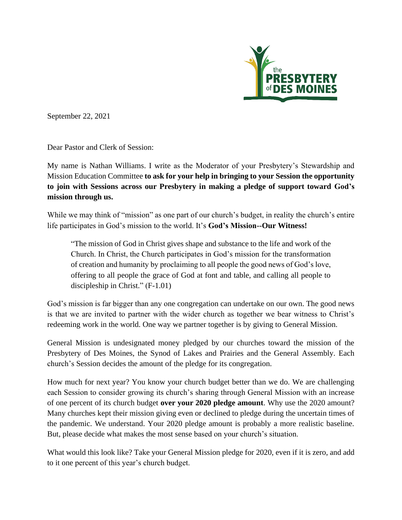

September 22, 2021

Dear Pastor and Clerk of Session:

My name is Nathan Williams. I write as the Moderator of your Presbytery's Stewardship and Mission Education Committee **to ask for your help in bringing to your Session the opportunity to join with Sessions across our Presbytery in making a pledge of support toward God's mission through us.** 

While we may think of "mission" as one part of our church's budget, in reality the church's entire life participates in God's mission to the world. It's **God's Mission--Our Witness!**

"The mission of God in Christ gives shape and substance to the life and work of the Church. In Christ, the Church participates in God's mission for the transformation of creation and humanity by proclaiming to all people the good news of God's love, offering to all people the grace of God at font and table, and calling all people to discipleship in Christ." (F-1.01)

God's mission is far bigger than any one congregation can undertake on our own. The good news is that we are invited to partner with the wider church as together we bear witness to Christ's redeeming work in the world. One way we partner together is by giving to General Mission.

General Mission is undesignated money pledged by our churches toward the mission of the Presbytery of Des Moines, the Synod of Lakes and Prairies and the General Assembly. Each church's Session decides the amount of the pledge for its congregation.

How much for next year? You know your church budget better than we do. We are challenging each Session to consider growing its church's sharing through General Mission with an increase of one percent of its church budget **over your 2020 pledge amount**. Why use the 2020 amount? Many churches kept their mission giving even or declined to pledge during the uncertain times of the pandemic. We understand. Your 2020 pledge amount is probably a more realistic baseline. But, please decide what makes the most sense based on your church's situation.

What would this look like? Take your General Mission pledge for 2020, even if it is zero, and add to it one percent of this year's church budget.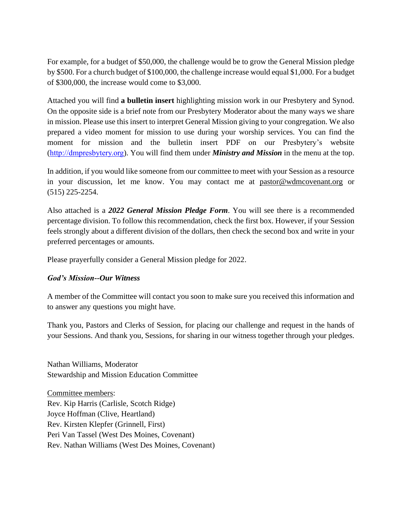For example, for a budget of \$50,000, the challenge would be to grow the General Mission pledge by \$500. For a church budget of \$100,000, the challenge increase would equal \$1,000. For a budget of \$300,000, the increase would come to \$3,000.

Attached you will find **a bulletin insert** highlighting mission work in our Presbytery and Synod. On the opposite side is a brief note from our Presbytery Moderator about the many ways we share in mission. Please use this insert to interpret General Mission giving to your congregation. We also prepared a video moment for mission to use during your worship services. You can find the moment for mission and the bulletin insert PDF on our Presbytery's website (http://dmpresbytery.org). You will find them under *Ministry and Mission* in the menu at the top.

In addition, if you would like someone from our committee to meet with your Session as a resource in your discussion, let me know. You may contact me at [pastor@wdmcovenant.org](mailto:perilou@mchsi.com) or (515) 225-2254.

Also attached is a *2022 General Mission Pledge Form*. You will see there is a recommended percentage division. To follow this recommendation, check the first box. However, if your Session feels strongly about a different division of the dollars, then check the second box and write in your preferred percentages or amounts.

Please prayerfully consider a General Mission pledge for 2022.

#### *God's Mission--Our Witness*

A member of the Committee will contact you soon to make sure you received this information and to answer any questions you might have.

Thank you, Pastors and Clerks of Session, for placing our challenge and request in the hands of your Sessions. And thank you, Sessions, for sharing in our witness together through your pledges.

Nathan Williams, Moderator Stewardship and Mission Education Committee

Committee members: Rev. Kip Harris (Carlisle, Scotch Ridge) Joyce Hoffman (Clive, Heartland) Rev. Kirsten Klepfer (Grinnell, First) Peri Van Tassel (West Des Moines, Covenant) Rev. Nathan Williams (West Des Moines, Covenant)